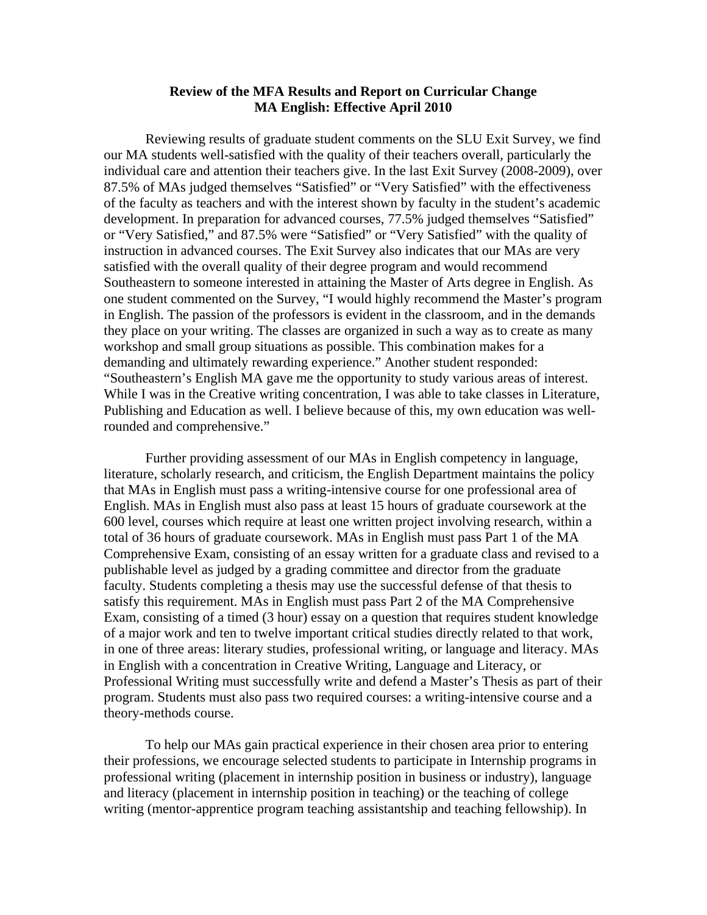## **Review of the MFA Results and Report on Curricular Change MA English: Effective April 2010**

 Reviewing results of graduate student comments on the SLU Exit Survey, we find our MA students well-satisfied with the quality of their teachers overall, particularly the individual care and attention their teachers give. In the last Exit Survey (2008-2009), over 87.5% of MAs judged themselves "Satisfied" or "Very Satisfied" with the effectiveness of the faculty as teachers and with the interest shown by faculty in the student's academic development. In preparation for advanced courses, 77.5% judged themselves "Satisfied" or "Very Satisfied," and 87.5% were "Satisfied" or "Very Satisfied" with the quality of instruction in advanced courses. The Exit Survey also indicates that our MAs are very satisfied with the overall quality of their degree program and would recommend Southeastern to someone interested in attaining the Master of Arts degree in English. As one student commented on the Survey, "I would highly recommend the Master's program in English. The passion of the professors is evident in the classroom, and in the demands they place on your writing. The classes are organized in such a way as to create as many workshop and small group situations as possible. This combination makes for a demanding and ultimately rewarding experience." Another student responded: "Southeastern's English MA gave me the opportunity to study various areas of interest. While I was in the Creative writing concentration, I was able to take classes in Literature, Publishing and Education as well. I believe because of this, my own education was wellrounded and comprehensive."

 Further providing assessment of our MAs in English competency in language, literature, scholarly research, and criticism, the English Department maintains the policy that MAs in English must pass a writing-intensive course for one professional area of English. MAs in English must also pass at least 15 hours of graduate coursework at the 600 level, courses which require at least one written project involving research, within a total of 36 hours of graduate coursework. MAs in English must pass Part 1 of the MA Comprehensive Exam, consisting of an essay written for a graduate class and revised to a publishable level as judged by a grading committee and director from the graduate faculty. Students completing a thesis may use the successful defense of that thesis to satisfy this requirement. MAs in English must pass Part 2 of the MA Comprehensive Exam, consisting of a timed (3 hour) essay on a question that requires student knowledge of a major work and ten to twelve important critical studies directly related to that work, in one of three areas: literary studies, professional writing, or language and literacy. MAs in English with a concentration in Creative Writing, Language and Literacy, or Professional Writing must successfully write and defend a Master's Thesis as part of their program. Students must also pass two required courses: a writing-intensive course and a theory-methods course.

 To help our MAs gain practical experience in their chosen area prior to entering their professions, we encourage selected students to participate in Internship programs in professional writing (placement in internship position in business or industry), language and literacy (placement in internship position in teaching) or the teaching of college writing (mentor-apprentice program teaching assistantship and teaching fellowship). In